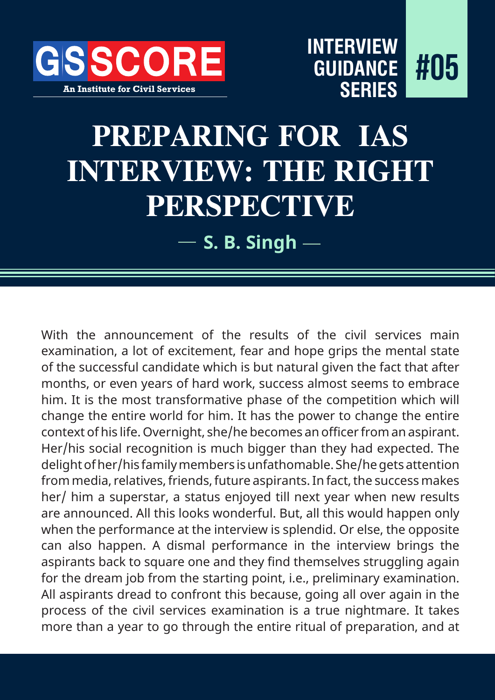

# **PREPARING FOR IAS INTERVIEW: THE RIGHT PERSPECTIVE**

**S. B. Singh**

With the announcement of the results of the civil services main examination, a lot of excitement, fear and hope grips the mental state of the successful candidate which is but natural given the fact that after months, or even years of hard work, success almost seems to embrace him. It is the most transformative phase of the competition which will change the entire world for him. It has the power to change the entire context of his life. Overnight, she/he becomes an officer from an aspirant. Her/his social recognition is much bigger than they had expected. The delight of her/his family members is unfathomable. She/he gets attention from media, relatives, friends, future aspirants. In fact, the success makes her/ him a superstar, a status enjoyed till next year when new results are announced. All this looks wonderful. But, all this would happen only when the performance at the interview is splendid. Or else, the opposite can also happen. A dismal performance in the interview brings the aspirants back to square one and they find themselves struggling again for the dream job from the starting point, i.e., preliminary examination. All aspirants dread to confront this because, going all over again in the process of the civil services examination is a true nightmare. It takes more than a year to go through the entire ritual of preparation, and at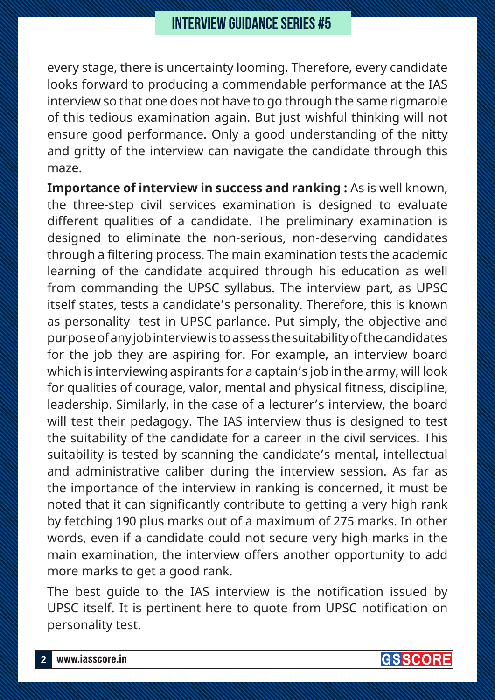every stage, there is uncertainty looming. Therefore, every candidate looks forward to producing a commendable performance at the IAS interview so that one does not have to go through the same rigmarole of this tedious examination again. But just wishful thinking will not ensure good performance. Only a good understanding of the nitty and gritty of the interview can navigate the candidate through this maze.

**Importance of interview in success and ranking :** As is well known, the three-step civil services examination is designed to evaluate different qualities of a candidate. The preliminary examination is designed to eliminate the non-serious, non-deserving candidates through a filtering process. The main examination tests the academic learning of the candidate acquired through his education as well from commanding the UPSC syllabus. The interview part, as UPSC itself states, tests a candidate's personality. Therefore, this is known as personality test in UPSC parlance. Put simply, the objective and purpose of any job interview is to assess the suitability of the candidates for the job they are aspiring for. For example, an interview board which is interviewing aspirants for a captain's job in the army, will look for qualities of courage, valor, mental and physical fitness, discipline, leadership. Similarly, in the case of a lecturer's interview, the board will test their pedagogy. The IAS interview thus is designed to test the suitability of the candidate for a career in the civil services. This suitability is tested by scanning the candidate's mental, intellectual and administrative caliber during the interview session. As far as the importance of the interview in ranking is concerned, it must be noted that it can significantly contribute to getting a very high rank by fetching 190 plus marks out of a maximum of 275 marks. In other words, even if a candidate could not secure very high marks in the main examination, the interview offers another opportunity to add more marks to get a good rank.

The best guide to the IAS interview is the notification issued by UPSC itself. It is pertinent here to quote from UPSC notification on personality test.

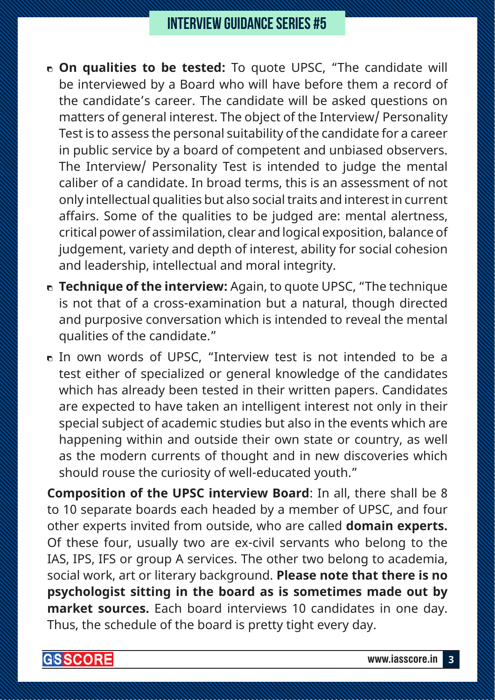- **On qualities to be tested:** To quote UPSC, "The candidate will be interviewed by a Board who will have before them a record of the candidate's career. The candidate will be asked questions on matters of general interest. The object of the Interview/ Personality Test is to assess the personal suitability of the candidate for a career in public service by a board of competent and unbiased observers. The Interview/ Personality Test is intended to judge the mental caliber of a candidate. In broad terms, this is an assessment of not only intellectual qualities but also social traits and interest in current affairs. Some of the qualities to be judged are: mental alertness, critical power of assimilation, clear and logical exposition, balance of judgement, variety and depth of interest, ability for social cohesion and leadership, intellectual and moral integrity.
- **Technique of the interview:** Again, to quote UPSC, "The technique is not that of a cross-examination but a natural, though directed and purposive conversation which is intended to reveal the mental qualities of the candidate."
- In own words of UPSC, "Interview test is not intended to be a test either of specialized or general knowledge of the candidates which has already been tested in their written papers. Candidates are expected to have taken an intelligent interest not only in their special subject of academic studies but also in the events which are happening within and outside their own state or country, as well as the modern currents of thought and in new discoveries which should rouse the curiosity of well-educated youth."

**Composition of the UPSC interview Board**: In all, there shall be 8 to 10 separate boards each headed by a member of UPSC, and four other experts invited from outside, who are called **domain experts.** Of these four, usually two are ex-civil servants who belong to the IAS, IPS, IFS or group A services. The other two belong to academia, social work, art or literary background. **Please note that there is no psychologist sitting in the board as is sometimes made out by market sources.** Each board interviews 10 candidates in one day. Thus, the schedule of the board is pretty tight every day.

**GISSCORE**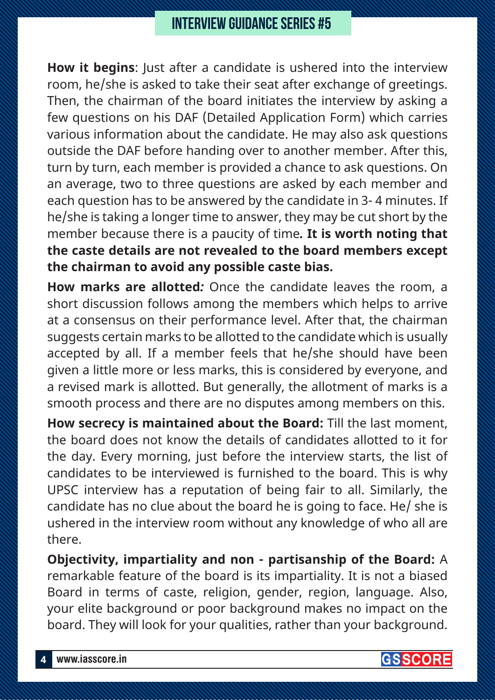**How it begins**: Just after a candidate is ushered into the interview room, he/she is asked to take their seat after exchange of greetings. Then, the chairman of the board initiates the interview by asking a few questions on his DAF (Detailed Application Form) which carries various information about the candidate. He may also ask questions outside the DAF before handing over to another member. After this, turn by turn, each member is provided a chance to ask questions. On an average, two to three questions are asked by each member and each question has to be answered by the candidate in 3- 4 minutes. If he/she is taking a longer time to answer, they may be cut short by the member because there is a paucity of time*.* **It is worth noting that the caste details are not revealed to the board members except the chairman to avoid any possible caste bias.**

**How marks are allotted***:* Once the candidate leaves the room, a short discussion follows among the members which helps to arrive at a consensus on their performance level. After that, the chairman suggests certain marks to be allotted to the candidate which is usually accepted by all. If a member feels that he/she should have been given a little more or less marks, this is considered by everyone, and a revised mark is allotted. But generally, the allotment of marks is a smooth process and there are no disputes among members on this.

**How secrecy is maintained about the Board:** Till the last moment, the board does not know the details of candidates allotted to it for the day. Every morning, just before the interview starts, the list of candidates to be interviewed is furnished to the board. This is why UPSC interview has a reputation of being fair to all. Similarly, the candidate has no clue about the board he is going to face. He/ she is ushered in the interview room without any knowledge of who all are there.

**Objectivity, impartiality and non - partisanship of the Board:** A remarkable feature of the board is its impartiality. It is not a biased Board in terms of caste, religion, gender, region, language. Also, your elite background or poor background makes no impact on the board. They will look for your qualities, rather than your background.

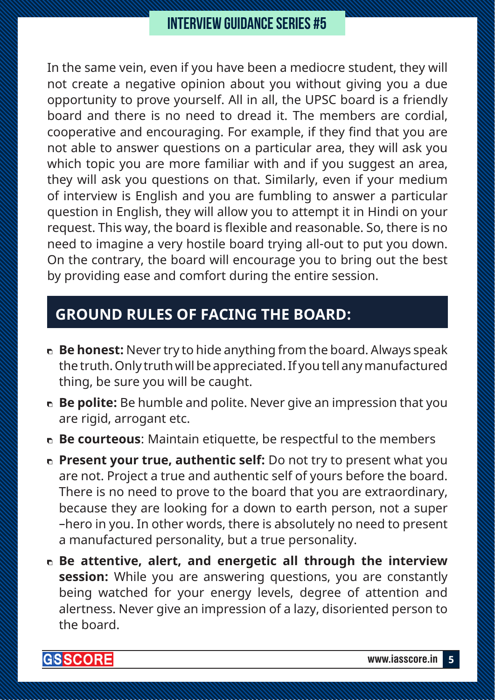In the same vein, even if you have been a mediocre student, they will not create a negative opinion about you without giving you a due opportunity to prove yourself. All in all, the UPSC board is a friendly board and there is no need to dread it. The members are cordial, cooperative and encouraging. For example, if they find that you are not able to answer questions on a particular area, they will ask you which topic you are more familiar with and if you suggest an area, they will ask you questions on that. Similarly, even if your medium of interview is English and you are fumbling to answer a particular question in English, they will allow you to attempt it in Hindi on your request. This way, the board is flexible and reasonable. So, there is no need to imagine a very hostile board trying all-out to put you down. On the contrary, the board will encourage you to bring out the best by providing ease and comfort during the entire session.

## **Ground rules of facing the board:**

- **Be honest:** Never try to hide anything from the board. Always speak the truth. Only truth will be appreciated. If you tell any manufactured thing, be sure you will be caught.
- **Be polite:** Be humble and polite. Never give an impression that you are rigid, arrogant etc.
- **Be courteous**: Maintain etiquette, be respectful to the members
- **Present your true, authentic self:** Do not try to present what you are not. Project a true and authentic self of yours before the board. There is no need to prove to the board that you are extraordinary, because they are looking for a down to earth person, not a super –hero in you. In other words, there is absolutely no need to present a manufactured personality, but a true personality.
- **Be attentive, alert, and energetic all through the interview session:** While you are answering questions, you are constantly being watched for your energy levels, degree of attention and alertness. Never give an impression of a lazy, disoriented person to the board.

**GISSCORE**